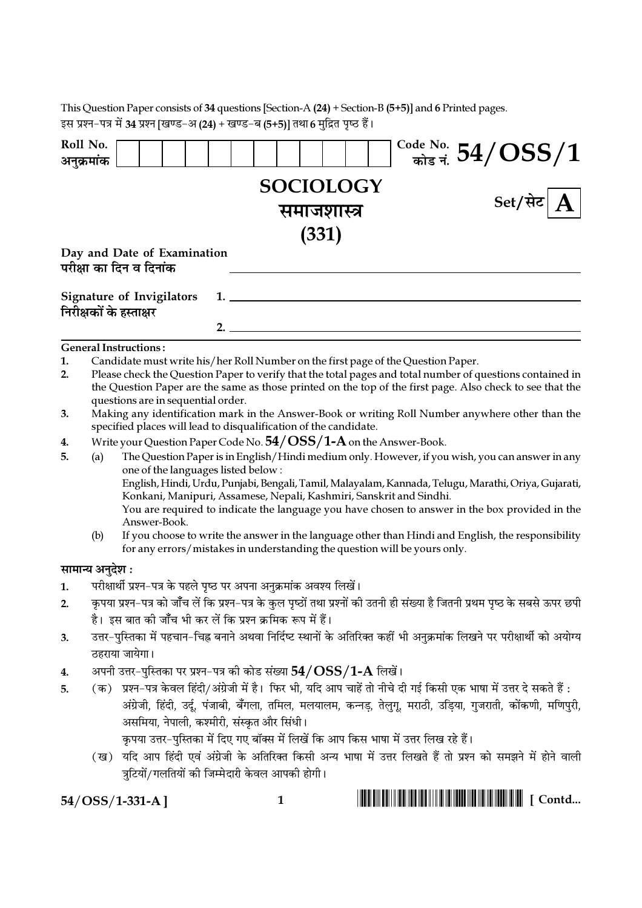|            | This Question Paper consists of 34 questions [Section-A $(24)$ + Section-B $(5+5)$ ] and 6 Printed pages.<br>इस प्रश्न-पत्र में 34 प्रश्न [खण्ड-अ (24) + खण्ड-ब (5+5)] तथा 6 मुद्रित पृष्ठ हैं।                                                                                                                                                                                                                                               |  |  |
|------------|-----------------------------------------------------------------------------------------------------------------------------------------------------------------------------------------------------------------------------------------------------------------------------------------------------------------------------------------------------------------------------------------------------------------------------------------------|--|--|
| Roll No.   |                                                                                                                                                                                                                                                                                                                                                                                                                                               |  |  |
| अनुक्रमांक | $\frac{\text{Code No.}}{\text{\#ls}}$ नं. $54/\text{OSS}/1$                                                                                                                                                                                                                                                                                                                                                                                   |  |  |
|            | SOCIOLOGY<br>Set/सेट<br>समाजशास्त्र<br>(331)                                                                                                                                                                                                                                                                                                                                                                                                  |  |  |
|            | Day and Date of Examination<br>परीक्षा का दिन व दिनांक                                                                                                                                                                                                                                                                                                                                                                                        |  |  |
|            | <b>Signature of Invigilators</b><br>निरीक्षकों के हस्ताक्षर<br>2.                                                                                                                                                                                                                                                                                                                                                                             |  |  |
|            | <b>General Instructions:</b>                                                                                                                                                                                                                                                                                                                                                                                                                  |  |  |
| 1.         | Candidate must write his/her Roll Number on the first page of the Question Paper.                                                                                                                                                                                                                                                                                                                                                             |  |  |
| 2.         | Please check the Question Paper to verify that the total pages and total number of questions contained in<br>the Question Paper are the same as those printed on the top of the first page. Also check to see that the<br>questions are in sequential order.                                                                                                                                                                                  |  |  |
| 3.         | Making any identification mark in the Answer-Book or writing Roll Number anywhere other than the<br>specified places will lead to disqualification of the candidate.                                                                                                                                                                                                                                                                          |  |  |
| 4.         | Write your Question Paper Code No. $54/OSS/1-A$ on the Answer-Book.                                                                                                                                                                                                                                                                                                                                                                           |  |  |
| 5.         | The Question Paper is in English/Hindi medium only. However, if you wish, you can answer in any<br>(a)<br>one of the languages listed below:<br>English, Hindi, Urdu, Punjabi, Bengali, Tamil, Malayalam, Kannada, Telugu, Marathi, Oriya, Gujarati,<br>Konkani, Manipuri, Assamese, Nepali, Kashmiri, Sanskrit and Sindhi.<br>You are required to indicate the language you have chosen to answer in the box provided in the<br>Answer-Book. |  |  |
|            | (b)<br>If you choose to write the answer in the language other than Hindi and English, the responsibility<br>for any errors/mistakes in understanding the question will be yours only.                                                                                                                                                                                                                                                        |  |  |
|            | सामान्य अनुदेश :                                                                                                                                                                                                                                                                                                                                                                                                                              |  |  |
| 1.         | परीक्षार्थी प्रश्न-पत्र के पहले पृष्ठ पर अपना अनुक्रमांक अवश्य लिखें।                                                                                                                                                                                                                                                                                                                                                                         |  |  |
| 2.         | कृपया प्रश्न–पत्र को जाँच लें कि प्रश्न–पत्र के कुल पृष्ठों तथा प्रश्नों की उतनी ही संख्या है जितनी प्रथम पृष्ठ के सबसे ऊपर छपी<br>है। इस बात की जाँच भी कर लें कि प्रश्न क्रमिक रूप में हैं।                                                                                                                                                                                                                                                 |  |  |
| 3.         | उत्तर-पुस्तिका में पहचान-चिह्न बनाने अथवा निर्दिष्ट स्थानों के अतिरिक्त कहीं भी अनुक्रमांक लिखने पर परीक्षार्थी को अयोग्य                                                                                                                                                                                                                                                                                                                     |  |  |
|            | ठहराया जायेगा।                                                                                                                                                                                                                                                                                                                                                                                                                                |  |  |
| 4.         | अपनी उत्तर-पुस्तिका पर प्रश्न-पत्र को कोड संख्या $54/OSS/1$ - ${\rm A}$ लिखें।                                                                                                                                                                                                                                                                                                                                                                |  |  |
| 5.         | प्रश्न–पत्र केवल हिंदी/अंग्रेजी में है। फिर भी, यदि आप चाहें तो नीचे दी गई किसी एक भाषा में उत्तर दे सकते हैं :<br>$(\overline{a})$<br>अंग्रेजी, हिंदी, उर्दू, पंजाबी, बँगला, तमिल, मलयालम, कन्नड़, तेलुगू, मराठी, उड़िया, गुजराती, कोंकणी, मणिपुरी,<br>असमिया, नेपाली, कश्मीरी, संस्कृत और सिंधी।<br>कृपया उत्तर–पुस्तिका में दिए गए बॉक्स में लिखें कि आप किस भाषा में उत्तर लिख रहे हैं।                                                   |  |  |
|            | (ख) यदि आप हिंदी एवं अंग्रेजी के अतिरिक्त किसी अन्य भाषा में उत्तर लिखते हैं तो प्रश्न को समझने में होने वाली<br>त्रुटियों/गलतियों की जिम्मेदारी केवल आपकी होगी।                                                                                                                                                                                                                                                                              |  |  |

 $54/OSS/1-331-A$ ]

 $\overline{1}$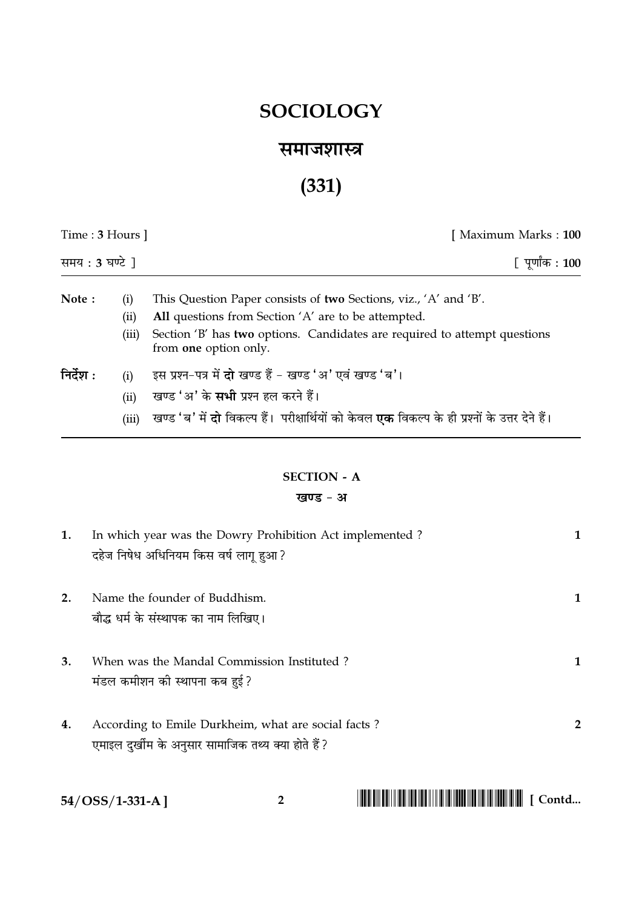## **SOCIOLOGY**

### समाजशास्त्र

# $(331)$

| Time : $3$ Hours $\vert$<br>समय: $3 \overline{u}$ ) |                      | [ Maximum Marks : 100                                                                                                                                                                                                         |
|-----------------------------------------------------|----------------------|-------------------------------------------------------------------------------------------------------------------------------------------------------------------------------------------------------------------------------|
|                                                     |                      | [ पूर्णांक : 100                                                                                                                                                                                                              |
| Note:                                               | (i)<br>(ii)<br>(iii) | This Question Paper consists of two Sections, viz., 'A' and 'B'.<br>All questions from Section 'A' are to be attempted.<br>Section 'B' has two options. Candidates are required to attempt questions<br>from one option only. |
| निर्देश :                                           | (i)<br>(ii)<br>(iii) | इस प्रश्न-पत्र में <b>दो</b> खण्ड हैं - खण्ड 'अ' एवं खण्ड 'ब'।<br>खण्ड 'अ' के <b>सभी</b> प्रश्न हल करने हैं।<br>खण्ड 'ब' में <b>दो</b> विकल्प हैं।  परीक्षार्थियों को केवल <b>एक</b> विकल्प के ही प्रश्नों के उत्तर देने हैं। |

### **SECTION - A** खण्ड - अ

| 1. | In which year was the Dowry Prohibition Act implemented ? |                |
|----|-----------------------------------------------------------|----------------|
|    | दहेज निषेध अधिनियम किस वर्ष लागू हुआ?                     |                |
|    |                                                           |                |
| 2. | Name the founder of Buddhism.                             |                |
|    | बौद्ध धर्म के संस्थापक का नाम लिखिए।                      |                |
|    |                                                           |                |
| 3. | When was the Mandal Commission Instituted?                |                |
|    | मंडल कमीशन की स्थापना कब हुई?                             |                |
|    |                                                           |                |
| 4. | According to Emile Durkheim, what are social facts?       | $\overline{2}$ |
|    | एमाइल दुर्खीम के अनुसार सामाजिक तथ्य क्या होते हैं?       |                |
|    |                                                           |                |

 $\overline{2}$ 

54/OSS/1-331-A]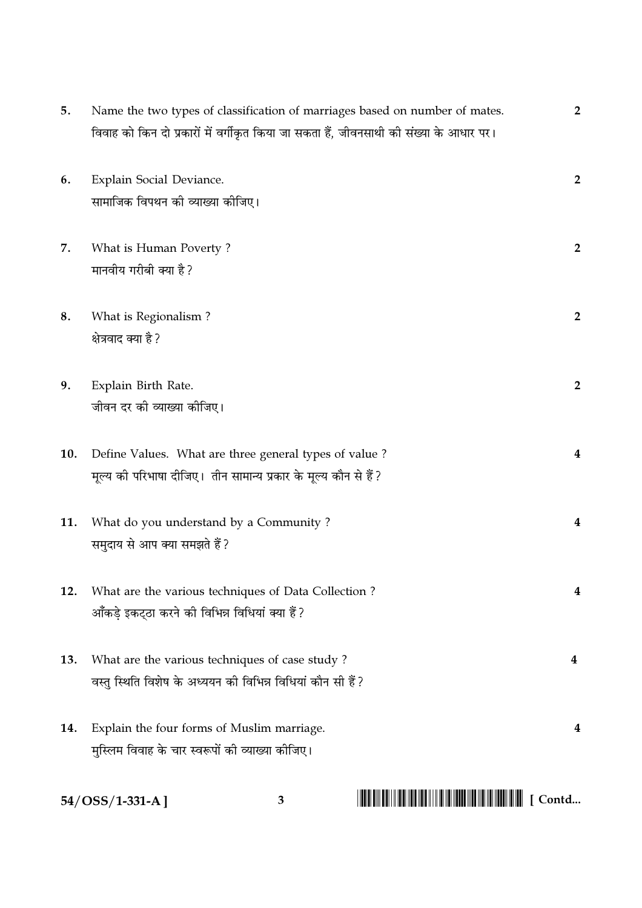| 5.  | Name the two types of classification of marriages based on number of mates.                                                | $\overline{2}$ |
|-----|----------------------------------------------------------------------------------------------------------------------------|----------------|
|     | विवाह को किन दो प्रकारों में वर्गीकृत किया जा सकता हैं, जीवनसाथी की संख्या के आधार पर।                                     |                |
| 6.  | Explain Social Deviance.<br>सामाजिक विपथन की व्याख्या कीजिए।                                                               | $\overline{2}$ |
| 7.  | What is Human Poverty?<br>मानवीय गरीबी क्या है?                                                                            | $\overline{2}$ |
| 8.  | What is Regionalism?<br>क्षेत्रवाद क्या है ?                                                                               | $\overline{2}$ |
| 9.  | Explain Birth Rate.<br>जीवन दर की व्याख्या कीजिए।                                                                          | $\overline{2}$ |
| 10. | Define Values. What are three general types of value?<br>मूल्य की परिभाषा दीजिए।  तीन सामान्य प्रकार के मूल्य कौन से हैं ? | 4              |
| 11. | What do you understand by a Community?<br>समुदाय से आप क्या समझते हैं ?                                                    | 4              |
| 12. | What are the various techniques of Data Collection?<br>आँकड़े इकट्ठा करने की विभिन्न विधियां क्या हैं?                     | 4              |
| 13. | What are the various techniques of case study?<br>वस्तु स्थिति विशेष के अध्ययन की विभिन्न विधियां कौन सी हैं ?             | 4              |
| 14. | Explain the four forms of Muslim marriage.<br>मुस्लिम विवाह के चार स्वरूपों की व्याख्या कीजिए।                             | 4              |

 $3^{\circ}$ 

 $54/OSS/1-331-A$ ]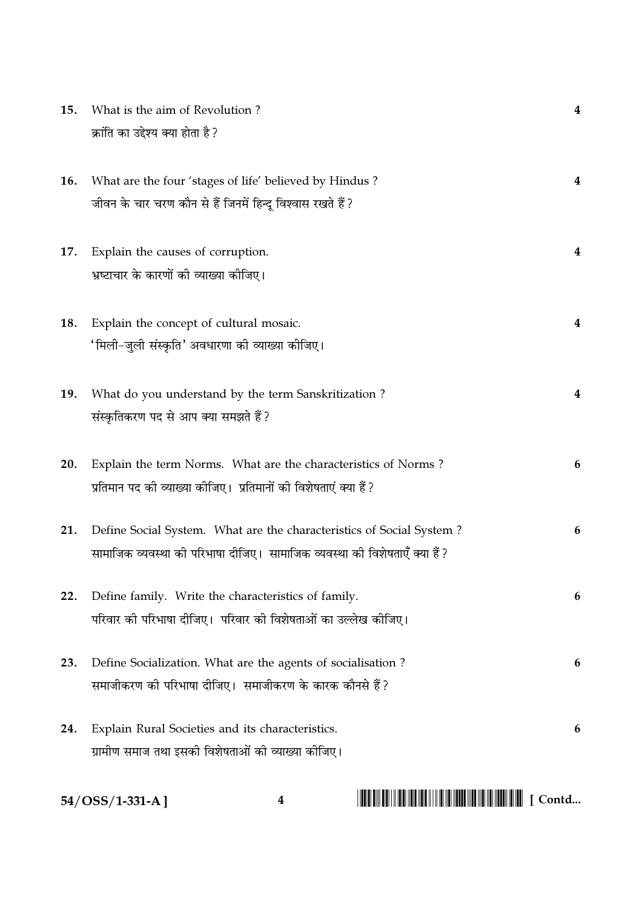| 15. | What is the aim of Revolution?                                                             | 4 |
|-----|--------------------------------------------------------------------------------------------|---|
|     | क्रांति का उद्देश्य क्या होता है ?                                                         |   |
|     |                                                                                            |   |
| 16. | What are the four 'stages of life' believed by Hindus?                                     | 4 |
|     | जीवन के चार चरण कौन से हैं जिनमें हिन्दू विश्वास रखते हैं ?                                |   |
|     |                                                                                            |   |
| 17. | Explain the causes of corruption.                                                          | 4 |
|     | भ्रष्टाचार के कारणों की व्याख्या कीजिए।                                                    |   |
|     |                                                                                            |   |
| 18. | Explain the concept of cultural mosaic.<br>'मिली–जुली संस्कृति' अवधारणा की व्याख्या कीजिए। | 4 |
|     |                                                                                            |   |
| 19. | What do you understand by the term Sanskritization?                                        | 4 |
|     | संस्कृतिकरण पद से आप क्या समझते हैं?                                                       |   |
|     |                                                                                            |   |
| 20. | Explain the term Norms. What are the characteristics of Norms?                             | 6 |
|     | प्रतिमान पद की व्याख्या कीजिए। प्रतिमानों की विशेषताएं क्या हैं?                           |   |
|     |                                                                                            |   |
| 21. | Define Social System. What are the characteristics of Social System?                       | 6 |
|     | सामाजिक व्यवस्था को परिभाषा दीजिए।  सामाजिक व्यवस्था की विशेषताएँ क्या हैं ?               |   |
| 22. | Define family. Write the characteristics of family.                                        | 6 |
|     | परिवार की परिभाषा दीजिए।  परिवार की विशेषताओं का उल्लेख कीजिए।                             |   |
|     |                                                                                            |   |
| 23. | Define Socialization. What are the agents of socialisation?                                | 6 |
|     | समाजीकरण की परिभाषा दीजिए।  समाजीकरण के कारक कौनसे हैं ?                                   |   |
| 24. | Explain Rural Societies and its characteristics.                                           | 6 |
|     | ग्रामीण समाज तथा इसकी विशेषताओं की व्याख्या कीजिए।                                         |   |
|     |                                                                                            |   |

 $\overline{\mathbf{4}}$ 

 $54/OSS/1-331-A$ ]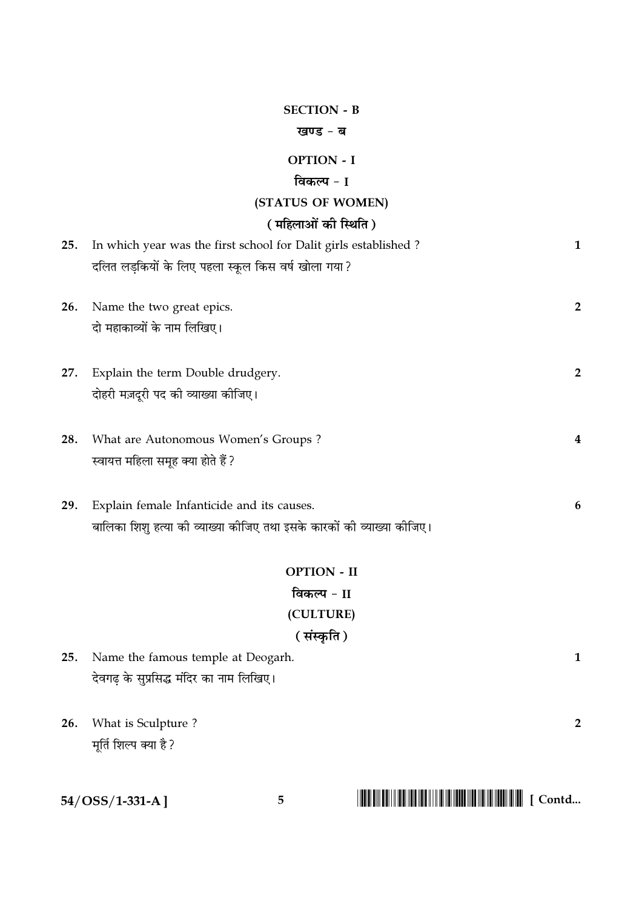#### **SECTION - B**

#### खण्ड - ब

#### **OPTION - I**

#### विकल्प - I

#### (STATUS OF WOMEN)

### $\sqrt{m}$

|     | ( मोहलाओं को स्थिति )                                                  |                |
|-----|------------------------------------------------------------------------|----------------|
| 25. | In which year was the first school for Dalit girls established?        | $\mathbf{1}$   |
|     | दलित लड़कियों के लिए पहला स्कूल किस वर्ष खोला गया ?                    |                |
| 26. | Name the two great epics.                                              | $\overline{2}$ |
|     | दो महाकाव्यों के नाम लिखिए।                                            |                |
|     |                                                                        |                |
| 27. | Explain the term Double drudgery.                                      | $\overline{2}$ |
|     | दोहरी मज़दूरी पद की व्याख्या कीजिए।                                    |                |
| 28. | What are Autonomous Women's Groups?                                    | 4              |
|     | स्वायत्त महिला समूह क्या होते हैं ?                                    |                |
|     |                                                                        |                |
| 29. | Explain female Infanticide and its causes.                             | 6              |
|     | बालिका शिशू हत्या की व्याख्या कीजिए तथा इसके कारकों की व्याख्या कीजिए। |                |
|     | <b>OPTION - II</b>                                                     |                |
|     |                                                                        |                |

## विकल्प - II (CULTURE) (संस्कृति)

| 25. Name the famous temple at Deogarh.   |  |
|------------------------------------------|--|
| देवगढ़ के सुप्रसिद्ध मंदिर का नाम लिखिए। |  |
|                                          |  |

26. What is Sculpture? मूर्ति शिल्प क्या है ?

|  | 54/OSS/1-331-A] |
|--|-----------------|
|--|-----------------|

## 

 $\overline{2}$